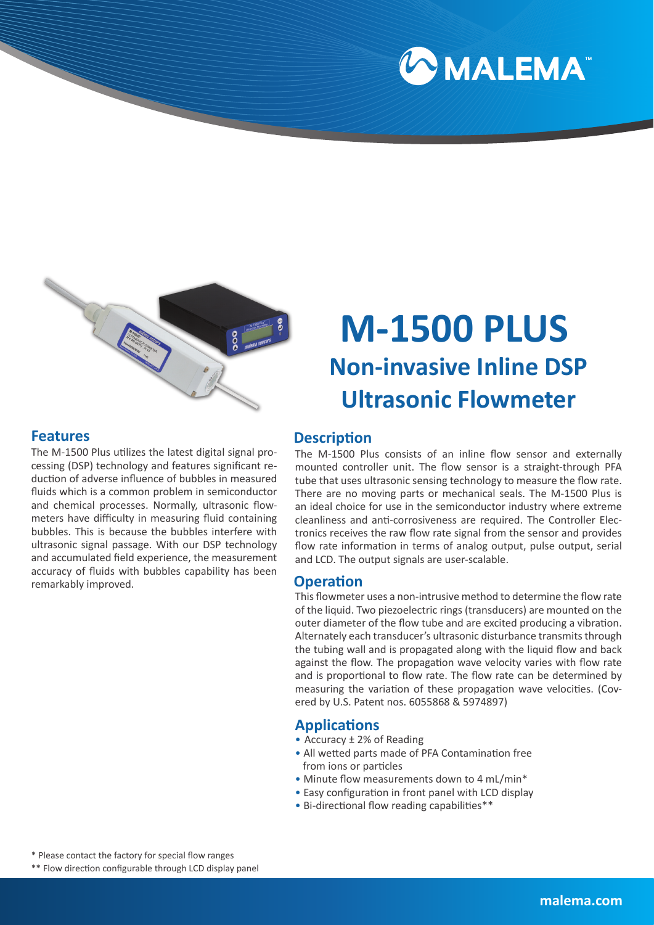



#### **Features**

The M-1500 Plus utilizes the latest digital signal processing (DSP) technology and features significant reduction of adverse influence of bubbles in measured fluids which is a common problem in semiconductor and chemical processes. Normally, ultrasonic flowmeters have difficulty in measuring fluid containing bubbles. This is because the bubbles interfere with ultrasonic signal passage. With our DSP technology and accumulated field experience, the measurement accuracy of fluids with bubbles capability has been remarkably improved.

# **M-1500 PLUS Non-invasive Inline DSP Ultrasonic Flowmeter**

#### **Description**

The M-1500 Plus consists of an inline flow sensor and externally mounted controller unit. The flow sensor is a straight-through PFA tube that uses ultrasonic sensing technology to measure the flow rate. There are no moving parts or mechanical seals. The M-1500 Plus is an ideal choice for use in the semiconductor industry where extreme cleanliness and anti-corrosiveness are required. The Controller Electronics receives the raw flow rate signal from the sensor and provides flow rate information in terms of analog output, pulse output, serial and LCD. The output signals are user-scalable.

#### **Operation**

This flowmeter uses a non-intrusive method to determine the flow rate of the liquid. Two piezoelectric rings (transducers) are mounted on the outer diameter of the flow tube and are excited producing a vibration. Alternately each transducer's ultrasonic disturbance transmits through the tubing wall and is propagated along with the liquid flow and back against the flow. The propagation wave velocity varies with flow rate and is proportional to flow rate. The flow rate can be determined by measuring the variation of these propagation wave velocities. (Covered by U.S. Patent nos. 6055868 & 5974897)

#### **Applications**

- Accuracy ± 2% of Reading
- All wetted parts made of PFA Contamination free from ions or particles
- Minute flow measurements down to 4 mL/min\*
- Easy configuration in front panel with LCD display
- Bi-directional flow reading capabilities\*\*

\* Please contact the factory for special flow ranges

\*\* Flow direction configurable through LCD display panel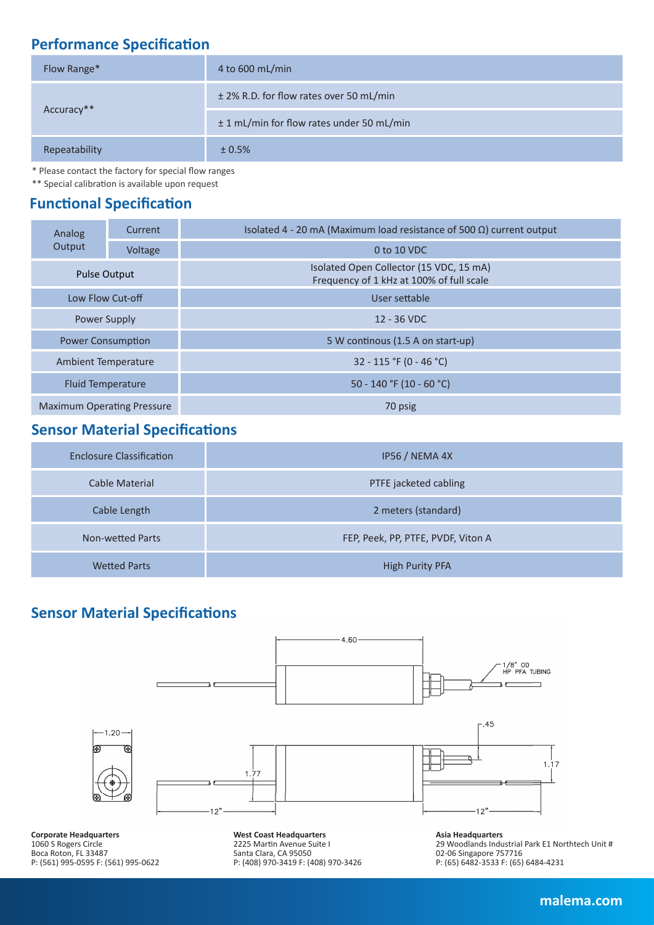## **Performance Specification**

| Flow Range*   | 4 to 600 mL/min                           |  |  |  |
|---------------|-------------------------------------------|--|--|--|
|               | ± 2% R.D. for flow rates over 50 mL/min   |  |  |  |
| Accuracy**    | ± 1 mL/min for flow rates under 50 mL/min |  |  |  |
| Repeatability | ± 0.5%                                    |  |  |  |

\* Please contact the factory for special flow ranges

\*\* Special calibration is available upon request

### **Functional Specification**

| Analog                            | Current | Isolated 4 - 20 mA (Maximum load resistance of 500 Ω) current output                |  |  |  |  |
|-----------------------------------|---------|-------------------------------------------------------------------------------------|--|--|--|--|
| Output                            | Voltage | 0 to 10 VDC                                                                         |  |  |  |  |
| <b>Pulse Output</b>               |         | Isolated Open Collector (15 VDC, 15 mA)<br>Frequency of 1 kHz at 100% of full scale |  |  |  |  |
| Low Flow Cut-off                  |         | User settable                                                                       |  |  |  |  |
| <b>Power Supply</b>               |         | 12 - 36 VDC                                                                         |  |  |  |  |
| <b>Power Consumption</b>          |         | 5 W continous (1.5 A on start-up)                                                   |  |  |  |  |
| Ambient Temperature               |         | 32 - 115 °F (0 - 46 °C)                                                             |  |  |  |  |
| <b>Fluid Temperature</b>          |         | 50 - 140 °F (10 - 60 °C)                                                            |  |  |  |  |
| <b>Maximum Operating Pressure</b> |         | 70 psig                                                                             |  |  |  |  |

## **Sensor Material Specifications**

| <b>Enclosure Classification</b> | IP56 / NEMA 4X                     |
|---------------------------------|------------------------------------|
| Cable Material                  | PTFE jacketed cabling              |
| Cable Length                    | 2 meters (standard)                |
| Non-wetted Parts                | FEP, Peek, PP, PTFE, PVDF, Viton A |
| <b>Wetted Parts</b>             | <b>High Purity PFA</b>             |

## **Sensor Material Specifications**



**Corporate Headquarters** 1060 S Rogers Circle Boca Roton, FL 33487 P: (561) 995-0595 F: (561) 995-0622 **West Coast Headquarters** 2225 Martin Avenue Suite I Santa Clara, CA 95050 P: (408) 970-3419 F: (408) 970-3426

**Asia Headquarters** 29 Woodlands Industrial Park E1 Northtech Unit # 02-06 Singapore 757716 P: (65) 6482-3533 F: (65) 6484-4231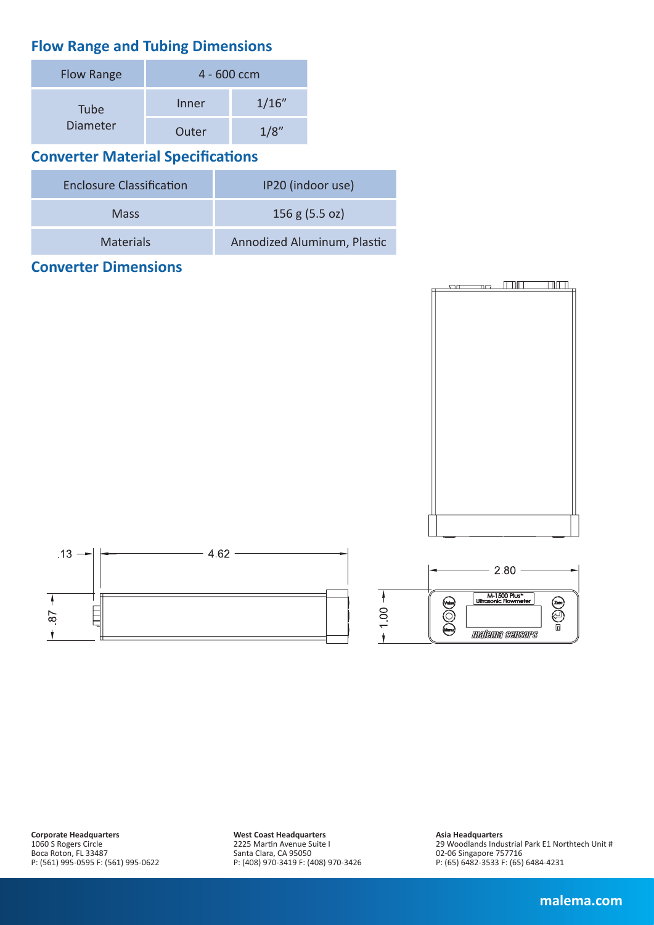## **Flow Range and Tubing Dimensions**

| <b>Flow Range</b> | 4 - 600 ccm |       |  |  |  |
|-------------------|-------------|-------|--|--|--|
| Tube              | Inner       | 1/16" |  |  |  |
| Diameter          | Outer       |       |  |  |  |

## **Converter Material Specifications**

| <b>Enclosure Classification</b> | IP20 (indoor use)           |  |  |
|---------------------------------|-----------------------------|--|--|
| <b>Mass</b>                     | 156 g (5.5 oz)              |  |  |
| <b>Materials</b>                | Annodized Aluminum, Plastic |  |  |

#### **Converter Dimensions**







**West Coast Headquarters** 2225 Martin Avenue Suite I Santa Clara, CA 95050 P: (408) 970-3419 F: (408) 970-3426

#### **Asia Headquarters**

29 Woodlands Industrial Park E1 Northtech Unit # 02-06 Singapore 757716 P: (65) 6482-3533 F: (65) 6484-4231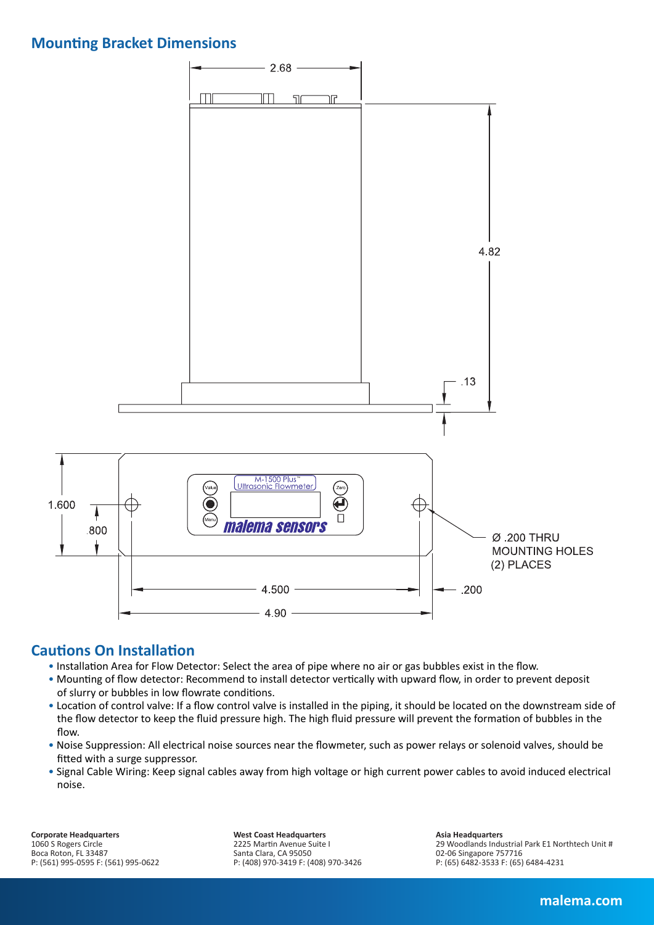#### **Mounting Bracket Dimensions**



#### **Cautions On Installation**

- Installation Area for Flow Detector: Select the area of pipe where no air or gas bubbles exist in the flow.
- Mounting of flow detector: Recommend to install detector vertically with upward flow, in order to prevent deposit of slurry or bubbles in low flowrate conditions.
- Location of control valve: If a flow control valve is installed in the piping, it should be located on the downstream side of the flow detector to keep the fluid pressure high. The high fluid pressure will prevent the formation of bubbles in the flow.
- Noise Suppression: All electrical noise sources near the flowmeter, such as power relays or solenoid valves, should be fitted with a surge suppressor.
- Signal Cable Wiring: Keep signal cables away from high voltage or high current power cables to avoid induced electrical noise.

**Corporate Headquarters** 1060 S Rogers Circle Boca Roton, FL 33487 P: (561) 995-0595 F: (561) 995-0622 **West Coast Headquarters** 2225 Martin Avenue Suite I Santa Clara, CA 95050 P: (408) 970-3419 F: (408) 970-3426 **Asia Headquarters** 29 Woodlands Industrial Park E1 Northtech Unit # 02-06 Singapore 757716 P: (65) 6482-3533 F: (65) 6484-4231